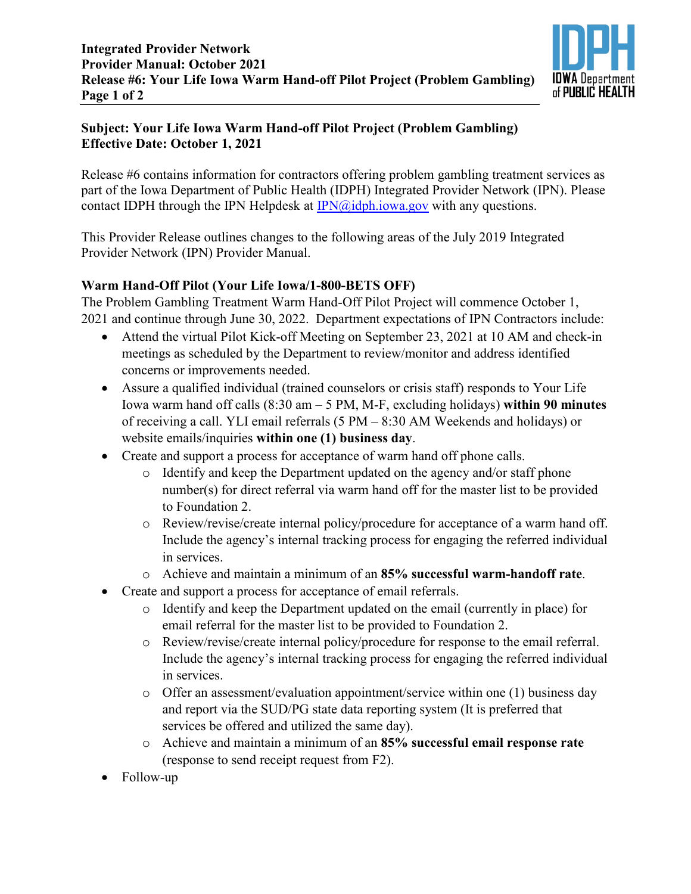

## **Subject: Your Life Iowa Warm Hand-off Pilot Project (Problem Gambling) Effective Date: October 1, 2021**

Release #6 contains information for contractors offering problem gambling treatment services as part of the Iowa Department of Public Health (IDPH) Integrated Provider Network (IPN). Please contact IDPH through the IPN Helpdesk at  $IPN@idph.iowa.gov$  with any questions.

This Provider Release outlines changes to the following areas of the July 2019 Integrated Provider Network (IPN) Provider Manual.

## **Warm Hand-Off Pilot (Your Life Iowa/1-800-BETS OFF)**

The Problem Gambling Treatment Warm Hand-Off Pilot Project will commence October 1, 2021 and continue through June 30, 2022. Department expectations of IPN Contractors include:

- Attend the virtual Pilot Kick-off Meeting on September 23, 2021 at 10 AM and check-in meetings as scheduled by the Department to review/monitor and address identified concerns or improvements needed.
- Assure a qualified individual (trained counselors or crisis staff) responds to Your Life Iowa warm hand off calls (8:30 am – 5 PM, M-F, excluding holidays) **within 90 minutes** of receiving a call. YLI email referrals (5 PM – 8:30 AM Weekends and holidays) or website emails/inquiries **within one (1) business day**.
- Create and support a process for acceptance of warm hand off phone calls.
	- o Identify and keep the Department updated on the agency and/or staff phone number(s) for direct referral via warm hand off for the master list to be provided to Foundation 2.
	- o Review/revise/create internal policy/procedure for acceptance of a warm hand off. Include the agency's internal tracking process for engaging the referred individual in services.
	- o Achieve and maintain a minimum of an **85% successful warm-handoff rate**.
- Create and support a process for acceptance of email referrals.
	- o Identify and keep the Department updated on the email (currently in place) for email referral for the master list to be provided to Foundation 2.
	- o Review/revise/create internal policy/procedure for response to the email referral. Include the agency's internal tracking process for engaging the referred individual in services.
	- o Offer an assessment/evaluation appointment/service within one (1) business day and report via the SUD/PG state data reporting system (It is preferred that services be offered and utilized the same day).
	- o Achieve and maintain a minimum of an **85% successful email response rate**  (response to send receipt request from F2).
- Follow-up